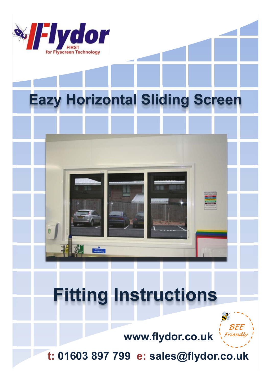

# **Eazy Horizontal Sliding Screen**

## **Fitting Instructions**



**www.flydor.co.uk**

**t: 01603 897 799 e: sales@flydor.co.uk**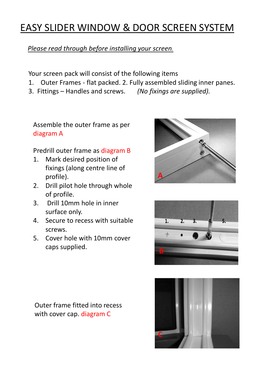### EASY SLIDER WINDOW & DOOR SCREEN SYSTEM

#### *Please read through before installing your screen.*

Your screen pack will consist of the following items

- 1. Outer Frames flat packed. 2. Fully assembled sliding inner panes.
- 3. Fittings Handles and screws. *(No fixings are supplied).*

Assemble the outer frame as per diagram A

#### Predrill outer frame as diagram B

- 1. Mark desired position of fixings (along centre line of profile).
- 2. Drill pilot hole through whole of profile.
- 3. Drill 10mm hole in inner surface only.
- 4. Secure to recess with suitable screws.
- 5. Cover hole with 10mm cover caps supplied. **B**





Outer frame fitted into recess with cover cap. diagram C

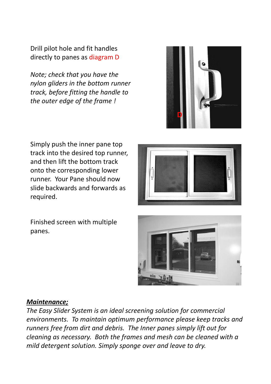Drill pilot hole and fit handles directly to panes as diagram D

*Note; check that you have the nylon gliders in the bottom runner track, before fitting the handle to the outer edge of the frame !*



Simply push the inner pane top track into the desired top runner, and then lift the bottom track onto the corresponding lower runner. Your Pane should now slide backwards and forwards as required.



Finished screen with multiple panes.



#### *Maintenance;*

*The Easy Slider System is an ideal screening solution for commercial environments. To maintain optimum performance please keep tracks and runners free from dirt and debris. The Inner panes simply lift out for cleaning as necessary. Both the frames and mesh can be cleaned with a mild detergent solution. Simply sponge over and leave to dry.*